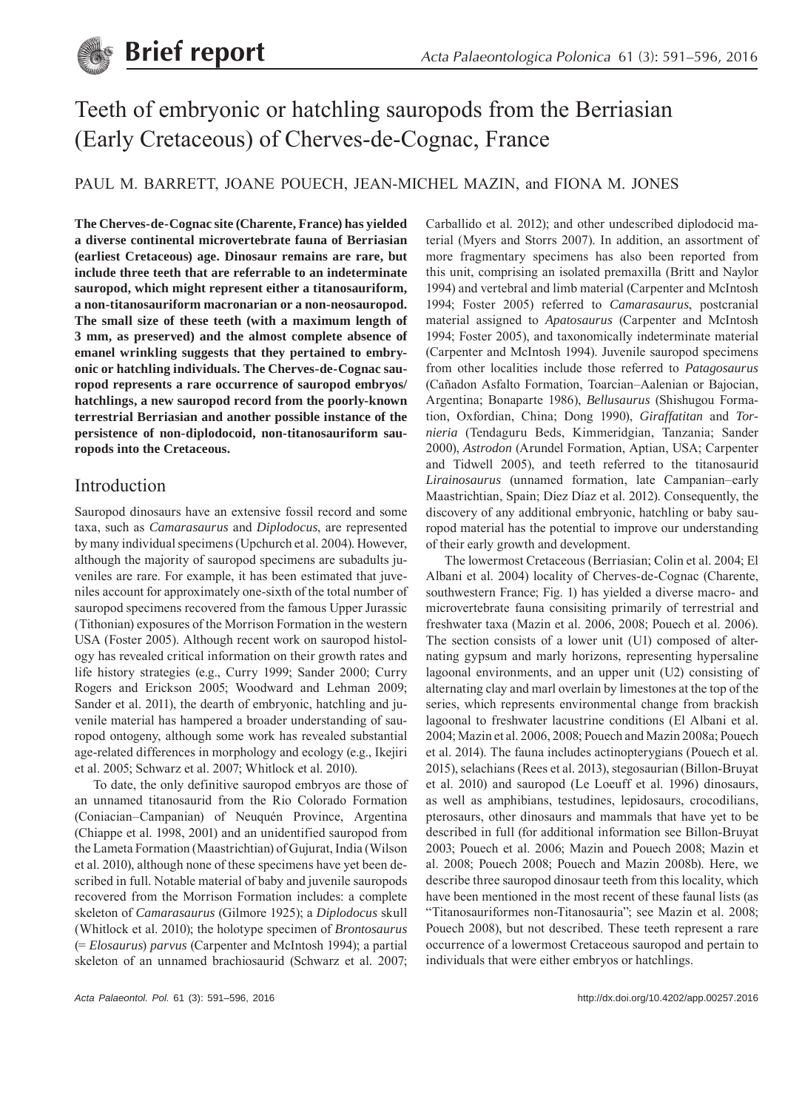

# Teeth of embryonic or hatchling sauropods from the Berriasian (Early Cretaceous) of Cherves-de-Cognac, France

## PAUL M. BARRETT, JOANE POUECH, JEAN-MICHEL MAZIN, and FIONA M. JONES

**The Cherves-de-Cognac site (Charente, France) has yielded a diverse continental microvertebrate fauna of Berriasian (earliest Cretaceous) age. Dinosaur remains are rare, but include three teeth that are referrable to an indeterminate sauropod, which might represent either a titanosauriform, a non-titanosauriform macronarian or a non-neosauropod. The small size of these teeth (with a maximum length of 3 mm, as preserved) and the almost complete absence of emanel wrinkling suggests that they pertained to embryonic or hatchling individuals. The Cherves-de-Cognac sauropod represents a rare occurrence of sauropod embryos/ hatchlings, a new sauropod record from the poorly-known terrestrial Berriasian and another possible instance of the persistence of non-diplodocoid, non-titanosauriform sauropods into the Cretaceous.**

## Introduction

Sauropod dinosaurs have an extensive fossil record and some taxa, such as *Camarasaurus* and *Diplodocus*, are represented by many individual specimens (Upchurch et al. 2004). However, although the majority of sauropod specimens are subadults juveniles are rare. For example, it has been estimated that juveniles account for approximately one-sixth of the total number of sauropod specimens recovered from the famous Upper Jurassic (Tithonian) exposures of the Morrison Formation in the western USA (Foster 2005). Although recent work on sauropod histology has revealed critical information on their growth rates and life history strategies (e.g., Curry 1999; Sander 2000; Curry Rogers and Erickson 2005; Woodward and Lehman 2009; Sander et al. 2011), the dearth of embryonic, hatchling and juvenile material has hampered a broader understanding of sauropod ontogeny, although some work has revealed substantial age-related differences in morphology and ecology (e.g., Ikejiri et al. 2005; Schwarz et al. 2007; Whitlock et al. 2010).

To date, the only definitive sauropod embryos are those of an unnamed titanosaurid from the Rio Colorado Formation (Coniacian–Campanian) of Neuquén Province, Argentina (Chiappe et al. 1998, 2001) and an unidentified sauropod from the Lameta Formation (Maastrichtian) of Gujurat, India (Wilson et al. 2010), although none of these specimens have yet been described in full. Notable material of baby and juvenile sauropods recovered from the Morrison Formation includes: a complete skeleton of *Camarasaurus* (Gilmore 1925); a *Diplodocus* skull (Whitlock et al. 2010); the holotype specimen of *Brontosaurus* (= *Elosaurus*) *parvus* (Carpenter and McIntosh 1994); a partial skeleton of an unnamed brachiosaurid (Schwarz et al. 2007;

Carballido et al. 2012); and other undescribed diplodocid material (Myers and Storrs 2007). In addition, an assortment of more fragmentary specimens has also been reported from this unit, comprising an isolated premaxilla (Britt and Naylor 1994) and vertebral and limb material (Carpenter and McIntosh 1994; Foster 2005) referred to *Camarasaurus*, postcranial material assigned to *Apatosaurus* (Carpenter and McIntosh 1994; Foster 2005), and taxonomically indeterminate material (Carpenter and McIntosh 1994). Juvenile sauropod specimens from other localities include those referred to *Patagosaurus* (Cañadon Asfalto Formation, Toarcian–Aalenian or Bajocian, Argentina; Bonaparte 1986), *Bellusaurus* (Shishugou Formation, Oxfordian, China; Dong 1990), *Giraffatitan* and *Tornieria* (Tendaguru Beds, Kimmeridgian, Tanzania; Sander 2000), *Astrodon* (Arundel Formation, Aptian, USA; Carpenter and Tidwell 2005), and teeth referred to the titanosaurid *Lirainosaurus* (unnamed formation, late Campanian–early Maastrichtian, Spain; Díez Díaz et al. 2012). Consequently, the discovery of any additional embryonic, hatchling or baby sauropod material has the potential to improve our understanding of their early growth and development.

The lowermost Cretaceous (Berriasian; Colin et al. 2004; El Albani et al. 2004) locality of Cherves-de-Cognac (Charente, southwestern France; Fig. 1) has yielded a diverse macro- and microvertebrate fauna consisiting primarily of terrestrial and freshwater taxa (Mazin et al. 2006, 2008; Pouech et al. 2006). The section consists of a lower unit (U1) composed of alternating gypsum and marly horizons, representing hypersaline lagoonal environments, and an upper unit (U2) consisting of alternating clay and marl overlain by limestones at the top of the series, which represents environmental change from brackish lagoonal to freshwater lacustrine conditions (El Albani et al. 2004; Mazin et al. 2006, 2008; Pouech and Mazin 2008a; Pouech et al. 2014). The fauna includes actinopterygians (Pouech et al. 2015), selachians (Rees et al. 2013), stegosaurian (Billon-Bruyat et al. 2010) and sauropod (Le Loeuff et al. 1996) dinosaurs, as well as amphibians, testudines, lepidosaurs, crocodilians, pterosaurs, other dinosaurs and mammals that have yet to be described in full (for additional information see Billon-Bruyat 2003; Pouech et al. 2006; Mazin and Pouech 2008; Mazin et al. 2008; Pouech 2008; Pouech and Mazin 2008b). Here, we describe three sauropod dinosaur teeth from this locality, which have been mentioned in the most recent of these faunal lists (as "Titanosauriformes non-Titanosauria"; see Mazin et al. 2008; Pouech 2008), but not described. These teeth represent a rare occurrence of a lowermost Cretaceous sauropod and pertain to individuals that were either embryos or hatchlings.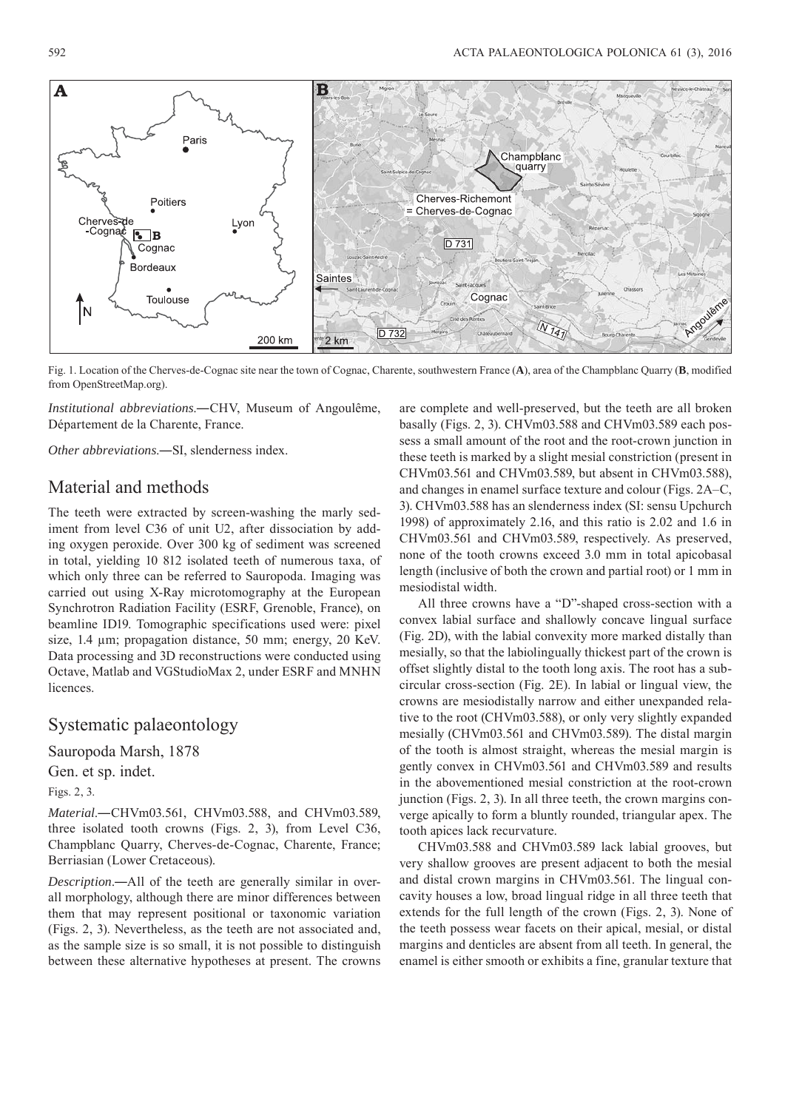

Fig. 1. Location of the Cherves-de-Cognac site near the town of Cognac, Charente, southwestern France (**A**), area of the Champblanc Quarry (**B**, modified from OpenStreetMap.org).

*Institutional abbreviations*.―CHV, Museum of Angoulême, Département de la Charente, France.

*Other abbreviations*.―SI, slenderness index.

## Material and methods

The teeth were extracted by screen-washing the marly sediment from level C36 of unit U2, after dissociation by adding oxygen peroxide. Over 300 kg of sediment was screened in total, yielding 10 812 isolated teeth of numerous taxa, of which only three can be referred to Sauropoda. Imaging was carried out using X-Ray microtomography at the European Synchrotron Radiation Facility (ESRF, Grenoble, France), on beamline ID19. Tomographic specifications used were: pixel size, 1.4 μm; propagation distance, 50 mm; energy, 20 KeV. Data processing and 3D reconstructions were conducted using Octave, Matlab and VGStudioMax 2, under ESRF and MNHN licences.

## Systematic palaeontology

Sauropoda Marsh, 1878

Gen. et sp. indet.

Figs. 2, 3.

*Material*.―CHVm03.561, CHVm03.588, and CHVm03.589, three isolated tooth crowns (Figs. 2, 3), from Level C36, Champblanc Quarry, Cherves-de-Cognac, Charente, France; Berriasian (Lower Cretaceous).

*Description*.―All of the teeth are generally similar in overall morphology, although there are minor differences between them that may represent positional or taxonomic variation (Figs. 2, 3). Nevertheless, as the teeth are not associated and, as the sample size is so small, it is not possible to distinguish between these alternative hypotheses at present. The crowns are complete and well-preserved, but the teeth are all broken basally (Figs. 2, 3). CHVm03.588 and CHVm03.589 each possess a small amount of the root and the root-crown junction in these teeth is marked by a slight mesial constriction (present in CHVm03.561 and CHVm03.589, but absent in CHVm03.588), and changes in enamel surface texture and colour (Figs. 2A –C, 3). CHVm03.588 has an slenderness index (SI: sensu Upchurch 1998) of approximately 2.16, and this ratio is 2.02 and 1.6 in CHVm03.561 and CHVm03.589, respectively. As preserved, none of the tooth crowns exceed 3.0 mm in total apicobasal length (inclusive of both the crown and partial root) or 1 mm in mesiodistal width.

All three crowns have a "D"-shaped cross-section with a convex labial surface and shallowly concave lingual surface (Fig. 2D), with the labial convexity more marked distally than mesially, so that the labiolingually thickest part of the crown is offset slightly distal to the tooth long axis. The root has a subcircular cross-section (Fig. 2E). In labial or lingual view, the crowns are mesiodistally narrow and either unexpanded relative to the root (CHVm03.588), or only very slightly expanded mesially (CHVm03.561 and CHVm03.589). The distal margin of the tooth is almost straight, whereas the mesial margin is gently convex in CHVm03.561 and CHVm03.589 and results in the abovementioned mesial constriction at the root-crown junction (Figs. 2, 3). In all three teeth, the crown margins converge apically to form a bluntly rounded, triangular apex. The tooth apices lack recurvature.

CHVm03.588 and CHVm03.589 lack labial grooves, but very shallow grooves are present adjacent to both the mesial and distal crown margins in CHVm03.561. The lingual concavity houses a low, broad lingual ridge in all three teeth that extends for the full length of the crown (Figs. 2, 3). None of the teeth possess wear facets on their apical, mesial, or distal margins and denticles are absent from all teeth. In general, the enamel is either smooth or exhibits a fine, granular texture that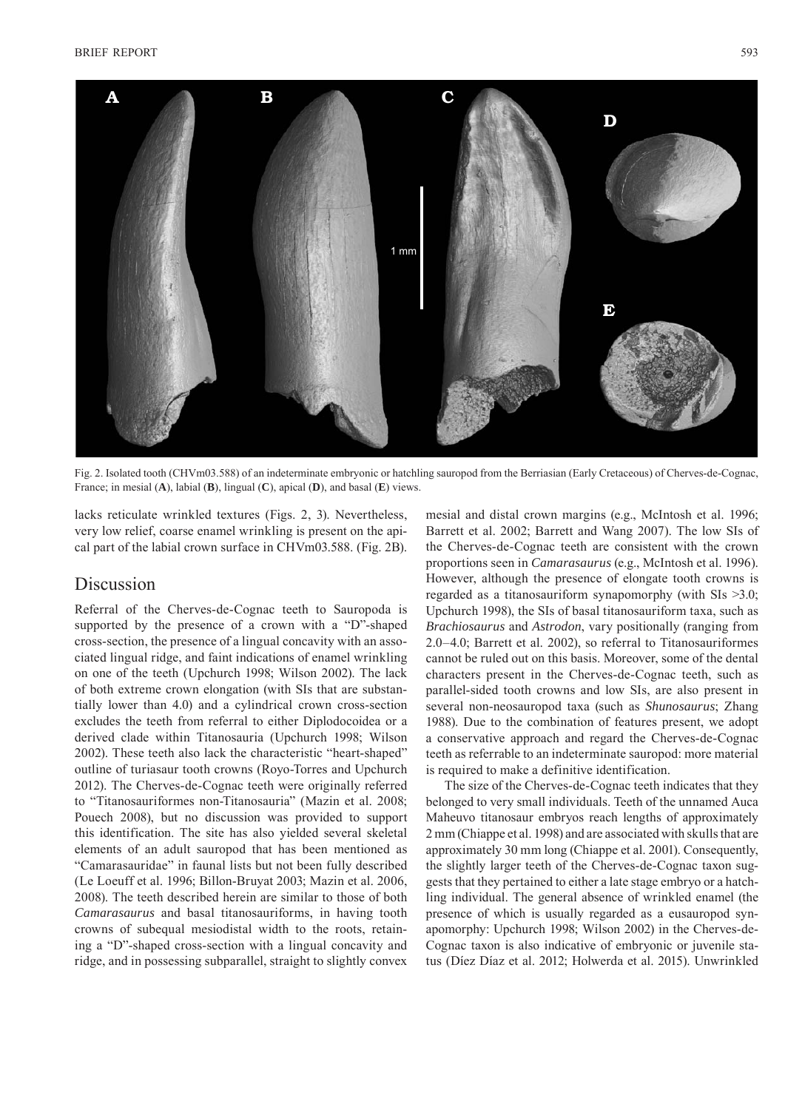

Fig. 2. Isolated tooth (CHVm03.588) of an indeterminate embryonic or hatchling sauropod from the Berriasian (Early Cretaceous) of Cherves-de-Cognac, France; in mesial (**A**), labial (**B**), lingual (**C**), apical (**D**), and basal (**E**) views.

lacks reticulate wrinkled textures (Figs. 2, 3). Nevertheless, very low relief, coarse enamel wrinkling is present on the apical part of the labial crown surface in CHVm03.588. (Fig. 2B).

## Discussion

Referral of the Cherves-de-Cognac teeth to Sauropoda is supported by the presence of a crown with a "D"-shaped cross-section, the presence of a lingual concavity with an associated lingual ridge, and faint indications of enamel wrinkling on one of the teeth (Upchurch 1998; Wilson 2002). The lack of both extreme crown elongation (with SIs that are substantially lower than 4.0) and a cylindrical crown cross-section excludes the teeth from referral to either Diplodocoidea or a derived clade within Titanosauria (Upchurch 1998; Wilson 2002). These teeth also lack the characteristic "heart-shaped" outline of turiasaur tooth crowns (Royo-Torres and Upchurch 2012). The Cherves-de-Cognac teeth were originally referred to "Titanosauriformes non-Titanosauria" (Mazin et al. 2008; Pouech 2008), but no discussion was provided to support this identification. The site has also yielded several skeletal elements of an adult sauropod that has been mentioned as "Camarasauridae" in faunal lists but not been fully described (Le Loeuff et al. 1996; Billon-Bruyat 2003; Mazin et al. 2006, 2008). The teeth described herein are similar to those of both *Camarasaurus* and basal titanosauriforms, in having tooth crowns of subequal mesiodistal width to the roots, retaining a "D"-shaped cross-section with a lingual concavity and ridge, and in possessing subparallel, straight to slightly convex mesial and distal crown margins (e.g., McIntosh et al. 1996; Barrett et al. 2002; Barrett and Wang 2007). The low SIs of the Cherves-de-Cognac teeth are consistent with the crown proportions seen in *Camarasaurus* (e.g., McIntosh et al. 1996). However, although the presence of elongate tooth crowns is regarded as a titanosauriform synapomorphy (with SIs >3.0; Upchurch 1998), the SIs of basal titanosauriform taxa, such as *Brachiosaurus* and *Astrodon*, vary positionally (ranging from 2.0–4.0; Barrett et al. 2002), so referral to Titanosauriformes cannot be ruled out on this basis. Moreover, some of the dental characters present in the Cherves-de-Cognac teeth, such as parallel-sided tooth crowns and low SIs, are also present in several non-neosauropod taxa (such as *Shunosaurus*; Zhang 1988). Due to the combination of features present, we adopt a conservative approach and regard the Cherves-de-Cognac teeth as referrable to an indeterminate sauropod: more material is required to make a definitive identification.

The size of the Cherves-de-Cognac teeth indicates that they belonged to very small individuals. Teeth of the unnamed Auca Maheuvo titanosaur embryos reach lengths of approximately 2 mm (Chiappe et al. 1998) and are associated with skulls that are approximately 30 mm long (Chiappe et al. 2001). Consequently, the slightly larger teeth of the Cherves-de-Cognac taxon suggests that they pertained to either a late stage embryo or a hatchling individual. The general absence of wrinkled enamel (the presence of which is usually regarded as a eusauropod synapomorphy: Upchurch 1998; Wilson 2002) in the Cherves-de-Cognac taxon is also indicative of embryonic or juvenile status (Díez Díaz et al. 2012; Holwerda et al. 2015). Unwrinkled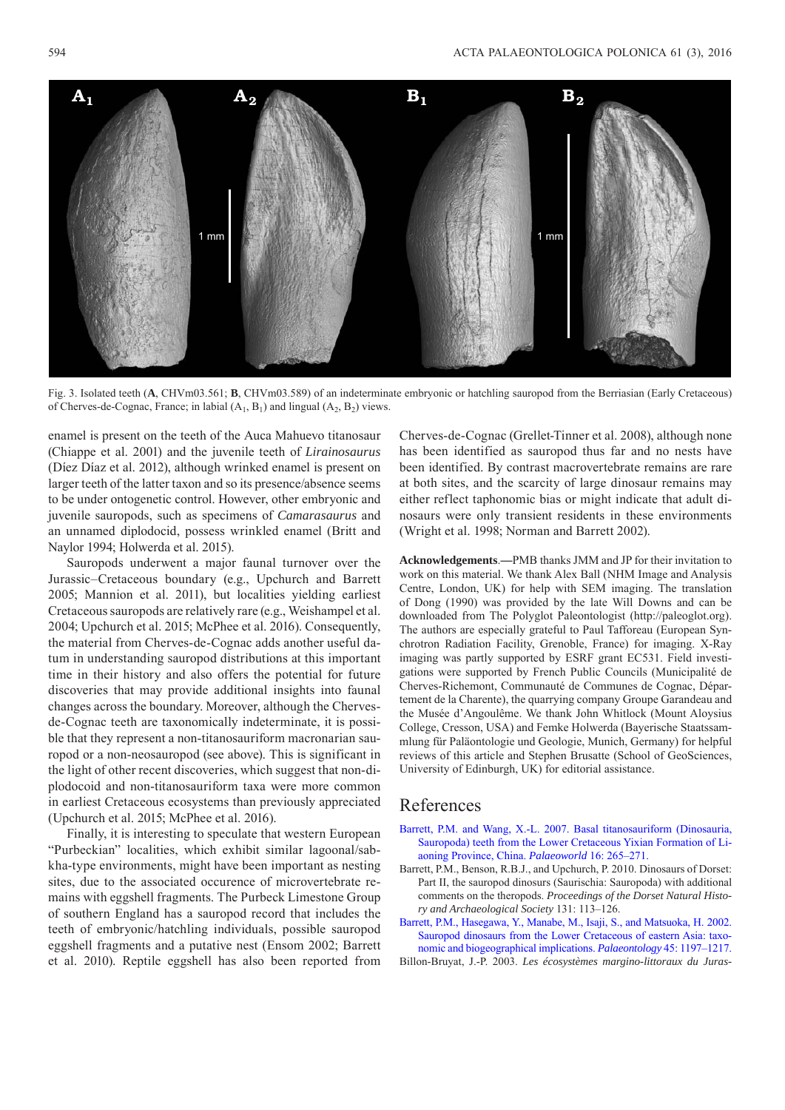

Fig. 3. Isolated teeth (A, CHVm03.561; **B**, CHVm03.589) of an indeterminate embryonic or hatchling sauropod from the Berriasian (Early Cretaceous) of Cherves-de-Cognac, France; in labial  $(A_1, B_1)$  and lingual  $(A_2, B_2)$  views.

enamel is present on the teeth of the Auca Mahuevo titanosaur (Chiappe et al. 2001) and the juvenile teeth of *Lirainosaurus* (Díez Díaz et al. 2012), although wrinked enamel is present on larger teeth of the latter taxon and so its presence/absence seems to be under ontogenetic control. However, other embryonic and juvenile sauropods, such as specimens of *Camarasaurus* and an unnamed diplodocid, possess wrinkled enamel (Britt and Naylor 1994; Holwerda et al. 2015).

Sauropods underwent a major faunal turnover over the Jurassic–Cretaceous boundary (e.g., Upchurch and Barrett 2005; Mannion et al. 2011), but localities yielding earliest Cretaceous sauropods are relatively rare (e.g., Weishampel et al. 2004; Upchurch et al. 2015; McPhee et al. 2016). Consequently, the material from Cherves-de-Cognac adds another useful datum in understanding sauropod distributions at this important time in their history and also offers the potential for future discoveries that may provide additional insights into faunal changes across the boundary. Moreover, although the Chervesde-Cognac teeth are taxonomically indeterminate, it is possible that they represent a non-titanosauriform macronarian sauropod or a non-neosauropod (see above). This is significant in the light of other recent discoveries, which suggest that non-diplodocoid and non-titanosauriform taxa were more common in earliest Cretaceous ecosystems than previously appreciated (Upchurch et al. 2015; McPhee et al. 2016).

Finally, it is interesting to speculate that western European "Purbeckian" localities, which exhibit similar lagoonal/sabkha-type environments, might have been important as nesting sites, due to the associated occurence of microvertebrate remains with eggshell fragments. The Purbeck Limestone Group of southern England has a sauropod record that includes the teeth of embryonic/hatchling individuals, possible sauropod eggshell fragments and a putative nest (Ensom 2002; Barrett et al. 2010). Reptile eggshell has also been reported from Cherves-de-Cognac (Grellet-Tinner et al. 2008), although none has been identified as sauropod thus far and no nests have been identified. By contrast macrovertebrate remains are rare at both sites, and the scarcity of large dinosaur remains may either reflect taphonomic bias or might indicate that adult dinosaurs were only transient residents in these environments (Wright et al. 1998; Norman and Barrett 2002).

**Acknowledgements**.**—**PMB thanks JMM and JP for their invitation to work on this material. We thank Alex Ball (NHM Image and Analysis Centre, London, UK) for help with SEM imaging. The translation of Dong (1990) was provided by the late Will Downs and can be downloaded from The Polyglot Paleontologist (http://paleoglot.org). The authors are especially grateful to Paul Tafforeau (European Synchrotron Radiation Facility, Grenoble, France) for imaging. X-Ray imaging was partly supported by ESRF grant EC531. Field investigations were supported by French Public Councils (Municipalité de Cherves-Richemont, Communauté de Communes de Cognac, Département de la Charente), the quarrying company Groupe Garandeau and the Musée d'Angoulême. We thank John Whitlock (Mount Aloysius College, Cresson, USA) and Femke Holwerda (Bayerische Staatssammlung für Paläontologie und Geologie, Munich, Germany) for helpful reviews of this article and Stephen Brusatte (School of GeoSciences, University of Edinburgh, UK) for editorial assistance.

## References

- [Barrett, P.M. and Wang, X.-L. 2007. Basal titanosauriform \(Dinosauria,](http://dx.doi.org/10.1016/j.palwor.2007.07.001) Sauropoda) teeth from the Lower Cretaceous Yixian Formation of Liaoning Province, China. *Palaeoworld* 16: 265–271.
- Barrett, P.M., Benson, R.B.J., and Upchurch, P. 2010. Dinosaurs of Dorset: Part II, the sauropod dinosurs (Saurischia: Sauropoda) with additional comments on the theropods. *Proceedings of the Dorset Natural History and Archaeological Society* 131: 113–126.
- [Barrett, P.M., Hasegawa, Y., Manabe, M., Isaji, S., and Matsuoka, H. 2002.](http://dx.doi.org/10.1111/1475-4983.00282) Sauropod dinosaurs from the Lower Cretaceous of eastern Asia: taxonomic and biogeographical implications. *Palaeontology* 45: 1197–1217.
- Billon-Bruyat, J.-P. 2003. *Les écosystèmes margino-littoraux du Juras-*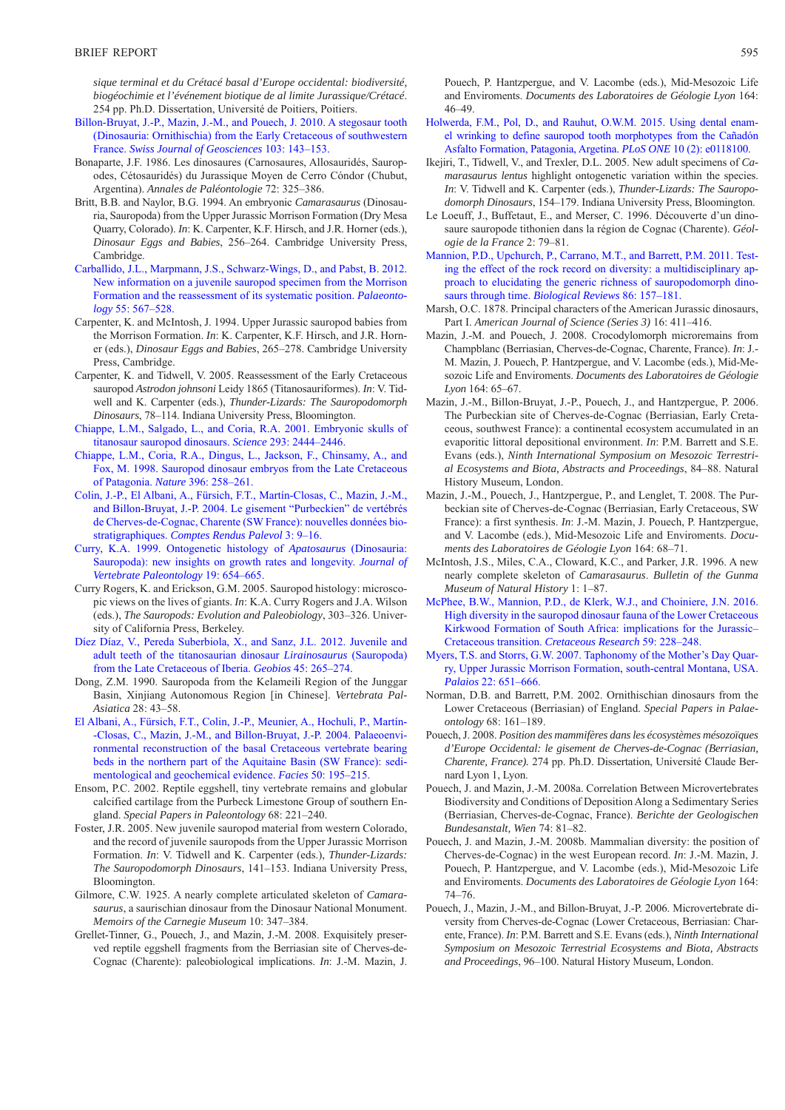*sique terminal et du Crétacé basal d'Europe occidental: biodiversité, biogéochimie et l'événement biotique de al limite Jurassique/Crétacé*. 254 pp. Ph.D. Dissertation, Université de Poitiers, Poitiers.

- [Billon-Bruyat, J.-P., Mazin, J.-M., and Pouech, J. 2010. A stegosaur tooth](http://dx.doi.org/10.1007/s00015-010-0028-y)  (Dinosauria: Ornithischia) from the Early Cretaceous of southwestern France. *Swiss Journal of Geosciences* 103: 143–153.
- Bonaparte, J.F. 1986. Les dinosaures (Carnosaures, Allosauridés, Sauropodes, Cétosauridés) du Jurassique Moyen de Cerro Cóndor (Chubut, Argentina). *Annales de Paléontologie* 72: 325–386.
- Britt, B.B. and Naylor, B.G. 1994. An embryonic *Camarasaurus* (Dinosauria, Sauropoda) from the Upper Jurassic Morrison Formation (Dry Mesa Quarry, Colorado). *In*: K. Carpenter, K.F. Hirsch, and J.R. Horner (eds.), *Dinosaur Eggs and Babies*, 256–264. Cambridge University Press, Cambridge.
- [Carballido, J.L., Marpmann, J.S., Schwarz-Wings, D., and Pabst, B. 2012.](http://dx.doi.org/10.1111/j.1475-4983.2012.01139.x)  New information on a juvenile sauropod specimen from the Morrison Formation and the reassessment of its systematic position. *Palaeontology* 55: 567–528.
- Carpenter, K. and McIntosh, J. 1994. Upper Jurassic sauropod babies from the Morrison Formation. *In*: K. Carpenter, K.F. Hirsch, and J.R. Horner (eds.), *Dinosaur Eggs and Babies*, 265–278. Cambridge University Press, Cambridge.
- Carpenter, K. and Tidwell, V. 2005. Reassessment of the Early Cretaceous sauropod *Astrodon johnsoni* Leidy 1865 (Titanosauriformes). *In*: V. Tidwell and K. Carpenter (eds.), *Thunder-Lizards: The Sauropodomorph Dinosaurs*, 78–114. Indiana University Press, Bloomington.
- [Chiappe, L.M., Salgado, L., and Coria, R.A. 2001. Embryonic skulls of](http://dx.doi.org/10.1126/science.1063723) titanosaur sauropod dinosaurs. *Science* 293: 2444–2446.
- [Chiappe, L.M., Coria, R.A., Dingus, L., Jackson, F., Chinsamy, A., and](http://dx.doi.org/10.1038/24370)  Fox, M. 1998. Sauropod dinosaur embryos from the Late Cretaceous of Patagonia. *Nature* 396: 258–261.
- [Colin, J.-P., El Albani, A., Fürsich, F.T., Martín-Closas, C., Mazin, J.-M.,](http://dx.doi.org/10.1016/j.crpv.2003.09.013)  and Billon-Bruyat, J.-P. 2004. Le gisement "Purbeckien" de vertébrés de Cherves-de-Cognac, Charente (SW France): nouvelles données biostratigraphiques. *Comptes Rendus Palevol* 3: 9–16.
- Curry, K.A. 1999. Ontogenetic histology of *Apatosaurus* (Dinosauria: [Sauropoda\): new insights on growth rates and longevity.](http://dx.doi.org/10.1080/02724634.1999.10011179) *Journal of Vertebrate Paleontology* 19: 654–665.
- Curry Rogers, K. and Erickson, G.M. 2005. Sauropod histology: microscopic views on the lives of giants. *In*: K.A. Curry Rogers and J.A. Wilson (eds.), *The Sauropods: Evolution and Paleobiology*, 303–326. University of California Press, Berkeley.
- [Díez Díaz, V., Pereda Suberbiola, X., and Sanz, J.L. 2012. Juvenile and](http://dx.doi.org/10.1016/j.geobios.2011.10.002) adult teeth of the titanosaurian dinosaur *Lirainosaurus* (Sauropoda) from the Late Cretaceous of Iberia. *Geobios* 45: 265–274.
- Dong, Z.M. 1990. Sauropoda from the Kelameili Region of the Junggar Basin, Xinjiang Autonomous Region [in Chinese]. *Vertebrata Pal-Asiatica* 28: 43–58.
- [El Albani, A., Fürsich, F.T., Colin, J.-P., Meunier, A., Hochuli, P., Martín -](http://dx.doi.org/10.1007/s10347-004-0017-6) -Closas, C., Mazin, J.-M., and Billon-Bruyat, J.-P. 2004. Palaeoenvironmental reconstruction of the basal Cretaceous vertebrate bearing beds in the northern part of the Aquitaine Basin (SW France): sedimentological and geochemical evidence. *Facies* 50: 195–215.
- Ensom, P.C. 2002. Reptile eggshell, tiny vertebrate remains and globular calcified cartilage from the Purbeck Limestone Group of southern England. *Special Papers in Paleontology* 68: 221–240.
- Foster, J.R. 2005. New juvenile sauropod material from western Colorado, and the record of juvenile sauropods from the Upper Jurassic Morrison Formation. *In*: V. Tidwell and K. Carpenter (eds.), *Thunder-Lizards: The Sauropodomorph Dinosaurs*, 141–153. Indiana University Press, Bloomington.
- Gilmore, C.W. 1925. A nearly complete articulated skeleton of *Camarasaurus*, a saurischian dinosaur from the Dinosaur National Monument. *Memoirs of the Carnegie Museum* 10: 347–384.
- Grellet-Tinner, G., Pouech, J., and Mazin, J.-M. 2008. Exquisitely preserved reptile eggshell fragments from the Berriasian site of Cherves-de-Cognac (Charente): paleobiological implications. *In*: J.-M. Mazin, J.

Pouech, P. Hantzpergue, and V. Lacombe (eds.), Mid-Mesozoic Life and Enviroments. *Documents des Laboratoires de Géologie Lyon* 164: 46–49.

- [Holwerda, F.M., Pol, D., and Rauhut, O.W.M. 2015. Using dental enam](http://dx.doi.org/10.1371/journal.pone.0118100)el wrinking to define sauropod tooth morphotypes from the Cañadón Asfalto Formation, Patagonia, Argetina. *PLoS ONE* 10 (2): e0118100.
- Ikejiri, T., Tidwell, V., and Trexler, D.L. 2005. New adult specimens of *Camarasaurus lentus* highlight ontogenetic variation within the species. *In*: V. Tidwell and K. Carpenter (eds.), *Thunder-Lizards: The Sauropodo morph Dinosaurs*, 154–179. Indiana University Press, Bloomington.
- Le Loeuff, J., Buffetaut, E., and Merser, C. 1996. Découverte d'un dinosaure sauropode tithonien dans la région de Cognac (Charente). *Géologie de la France* 2: 79–81.
- [Mannion, P.D., Upchurch, P., Carrano, M.T., and Barrett, P.M. 2011. Test](http://dx.doi.org/10.1111/j.1469-185X.2010.00139.x)ing the effect of the rock record on diversity: a multidisciplinary approach to elucidating the generic richness of sauropodomorph dinosaurs through time. *Biological Reviews* 86: 157–181.
- Marsh, O.C. 1878. Principal characters of the American Jurassic dinosaurs, Part I. *American Journal of Science (Series 3)* 16: 411–416.
- Mazin, J.-M. and Pouech, J. 2008. Crocodylomorph microremains from Champblanc (Berriasian, Cherves-de-Cognac, Charente, France). *In*: J.- M. Mazin, J. Pouech, P. Hantzpergue, and V. Lacombe (eds.), Mid-Mesozoic Life and Enviroments. *Documents des Laboratoires de Géologie Lyon* 164: 65–67.
- Mazin, J.-M., Billon-Bruyat, J.-P., Pouech, J., and Hantzpergue, P. 2006. The Purbeckian site of Cherves-de-Cognac (Berriasian, Early Cretaceous, southwest France): a continental ecosystem accumulated in an evaporitic littoral depositional environment. *In*: P.M. Barrett and S.E. Evans (eds.), *Ninth International Symposium on Mesozoic Terrestrial Ecosystems and Biota, Abstracts and Proceedings*, 84–88. Natural History Museum, London.
- Mazin, J.-M., Pouech, J., Hantzpergue, P., and Lenglet, T. 2008. The Purbeckian site of Cherves-de-Cognac (Berriasian, Early Cretaceous, SW France): a first synthesis. *In*: J.-M. Mazin, J. Pouech, P. Hantzpergue, and V. Lacombe (eds.), Mid-Mesozoic Life and Enviroments. *Documents des Laboratoires de Géologie Lyon* 164: 68–71.
- McIntosh, J.S., Miles, C.A., Cloward, K.C., and Parker, J.R. 1996. A new nearly complete skeleton of *Camarasaurus*. *Bulletin of the Gunma Museum of Natural History* 1: 1–87.
- [McPhee, B.W., Mannion, P.D., de Klerk, W.J., and Choiniere, J.N. 2016.](http://dx.doi.org/10.1016/j.cretres.2015.11.006) High diversity in the sauropod dinosaur fauna of the Lower Cretaceous Kirkwood Formation of South Africa: implications for the Jurassic– Cretaceous transition. *Cretaceous Research* 59: 228–248.
- [Myers, T.S. and Storrs, G.W. 2007. Taphonomy of the Mother's Day Quar](http://dx.doi.org/10.2110/palo.2005.p05-123r)ry, Upper Jurassic Morrison Formation, south-central Montana, USA. *Palaios* 22: 651–666.
- Norman, D.B. and Barrett, P.M. 2002. Ornithischian dinosaurs from the Lower Cretaceous (Berriasian) of England. *Special Papers in Palaeontology* 68: 161–189.
- Pouech, J. 2008. *Position des mammifères dans les écosystèmes mésozoïques d'Europe Occidental: le gisement de Cherves-de-Cognac (Berriasian, Charente, France).* 274 pp. Ph.D. Dissertation, Université Claude Bernard Lyon 1, Lyon.
- Pouech, J. and Mazin, J.-M. 2008a. Correlation Between Microvertebrates Biodiversity and Conditions of Deposition Along a Sedimentary Series (Berriasian, Cherves-de-Cognac, France). *Berichte der Geologischen Bundesanstalt, Wien* 74: 81–82.
- Pouech, J. and Mazin, J.-M. 2008b. Mammalian diversity: the position of Cherves-de-Cognac) in the west European record. *In*: J.-M. Mazin, J. Pouech, P. Hantzpergue, and V. Lacombe (eds.), Mid-Mesozoic Life and Enviroments. *Documents des Laboratoires de Géologie Lyon* 164: 74–76.
- Pouech, J., Mazin, J.-M., and Billon-Bruyat, J.-P. 2006. Microvertebrate diversity from Cherves-de-Cognac (Lower Cretaceous, Berriasian: Charente, France). *In*: P.M. Barrett and S.E. Evans (eds.), *Ninth International Symposium on Mesozoic Terrestrial Ecosystems and Biota, Abstracts*  and Proceedings, 96-100. Natural History Museum, London.